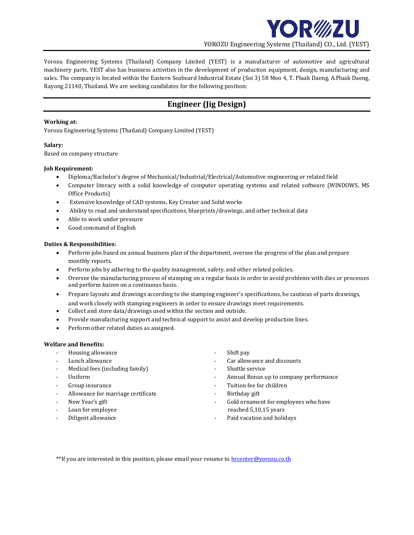

Yorozu Engineering Systems (Thailand) Company Limited (YEST) is a manufacturer of automotive and agricultural machinery parts. YEST also has business activities in the development of production equipment, design, manufacturing and sales. The company is located within the Eastern Seaboard Industrial Estate (Soi 3) 58 Moo 4, T. Pluak Daeng, A.Pluak Daeng, Rayong 21140, Thailand. We are seeking candidates for the following position:

# **Engineer (Jig Design)**

### **Working at:**

Yorozu Engineering Systems (Thailand) Company Limited (YEST)

# **Salary:**

Based on company structure

# **Job Requirement:**

- Diploma/Bachelor's degree of Mechanical/Industrial/Electrical/Automotive engineering or related field
- Computer literacy with a solid knowledge of computer operating systems and related software (WINDOWS, MS Office Products)
- Extensive knowledge of CAD systems, Key Creator and Solid works
- Ability to read and understand specifications, blueprints/drawings, and other technical data
- Able to work under pressure
- Good command of English

# **Duties & Responsibilities:**

- Perform jobs based on annual business plan of the department, oversee the progress of the plan and prepare monthly reports.
- Perform jobs by adhering to the quality management, safety, and other related policies.
- Oversee the manufacturing process of stamping on a regular basis in order to avoid problems with dies or processes and perform *kaizen* on a continuous basis.
- Prepare layouts and drawings according to the stamping engineer's specifications, be cautious of parts drawings, and work closely with stamping engineers in order to ensure drawings meet requirements.
- Collect and store data/drawings used within the section and outside.
- Provide manufacturing support and technical support to assist and develop production lines.
- Perform other related duties as assigned.

### **Welfare and Benefits:**

- Housing allowance **a strategies of the Shift pay**
- 
- Medical fees (including family) Fig. 2. Shuttle service
- 
- 
- Allowance for marriage certificate **Allowance for marriage certificate Allowance for marriage certificate**
- 
- 
- 
- 
- Lunch allowance **Lunch** allowance  $\overline{\phantom{a}}$  car allowance and discounts
	-
- Uniform  **Annual Bonus up to company performance**
- Group insurance  $\overline{\phantom{a}}$  and  $\overline{\phantom{a}}$  are  $\overline{\phantom{a}}$  and  $\overline{\phantom{a}}$  are  $\overline{\phantom{a}}$  and  $\overline{\phantom{a}}$  are  $\overline{\phantom{a}}$  and  $\overline{\phantom{a}}$  are  $\overline{\phantom{a}}$  and  $\overline{\phantom{a}}$  are  $\overline{\phantom{a}}$  and  $\overline{\phantom{a}}$  are  $\overline{\phantom{a}}$  an
	-
- New Year's gift  $\qquad \qquad -$  Gold ornament for employees who have Loan for employee reached 5,10,15 years
- Diligent allowance **Allowance Contracts Paid vacation and holidays**

\*\*If you are interested in this position, please email your resume to **hrcenter@yorozu.co.th**